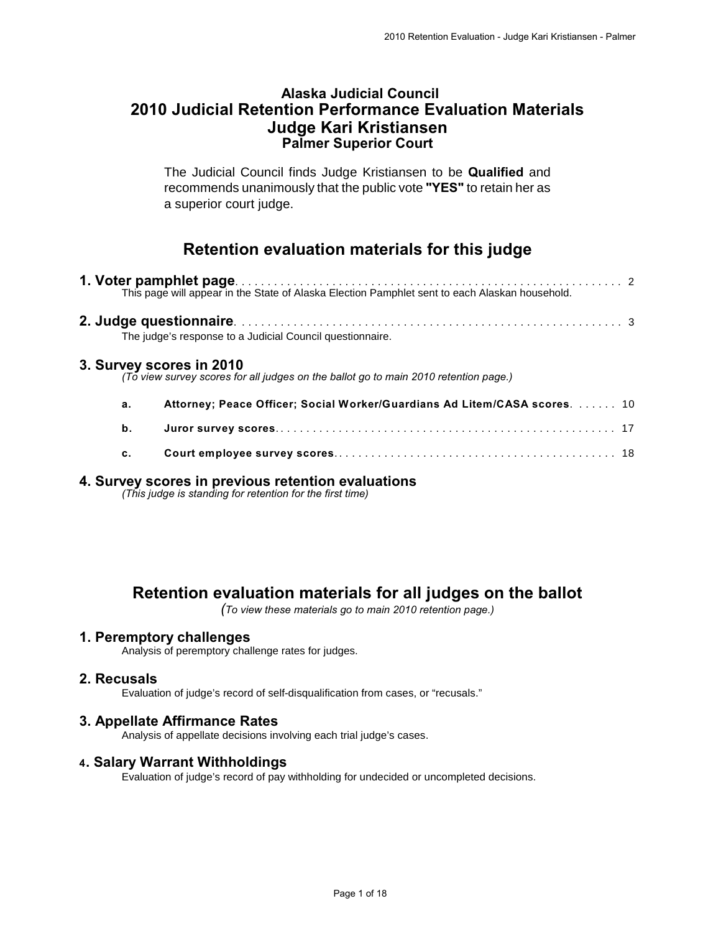## **Alaska Judicial Council 2010 Judicial Retention Performance Evaluation Materials Judge Kari Kristiansen Palmer Superior Court**

The Judicial Council finds Judge Kristiansen to be **Qualified** and recommends unanimously that the public vote **"YES"** to retain her as a superior court judge.

# **Retention evaluation materials for this judge**

|    | The judge's response to a Judicial Council questionnaire.                                                        |  |
|----|------------------------------------------------------------------------------------------------------------------|--|
|    | 3. Survey scores in 2010<br>(To view survey scores for all judges on the ballot go to main 2010 retention page.) |  |
| а. | Attorney; Peace Officer; Social Worker/Guardians Ad Litem/CASA scores.  10                                       |  |
| b. |                                                                                                                  |  |
| c. |                                                                                                                  |  |
|    |                                                                                                                  |  |

#### **4. Survey scores in previous retention evaluations**

*(This judge is standing for retention for the first time)*

# **Retention evaluation materials for all judges on the ballot**

*(To view these materials go to main 2010 retention page.)*

#### **1. Peremptory challenges**

Analysis of peremptory challenge rates for judges.

#### **2. Recusals**

Evaluation of judge's record of self-disqualification from cases, or "recusals."

#### **3. Appellate Affirmance Rates**

Analysis of appellate decisions involving each trial judge's cases.

#### **4. Salary Warrant Withholdings**

Evaluation of judge's record of pay withholding for undecided or uncompleted decisions.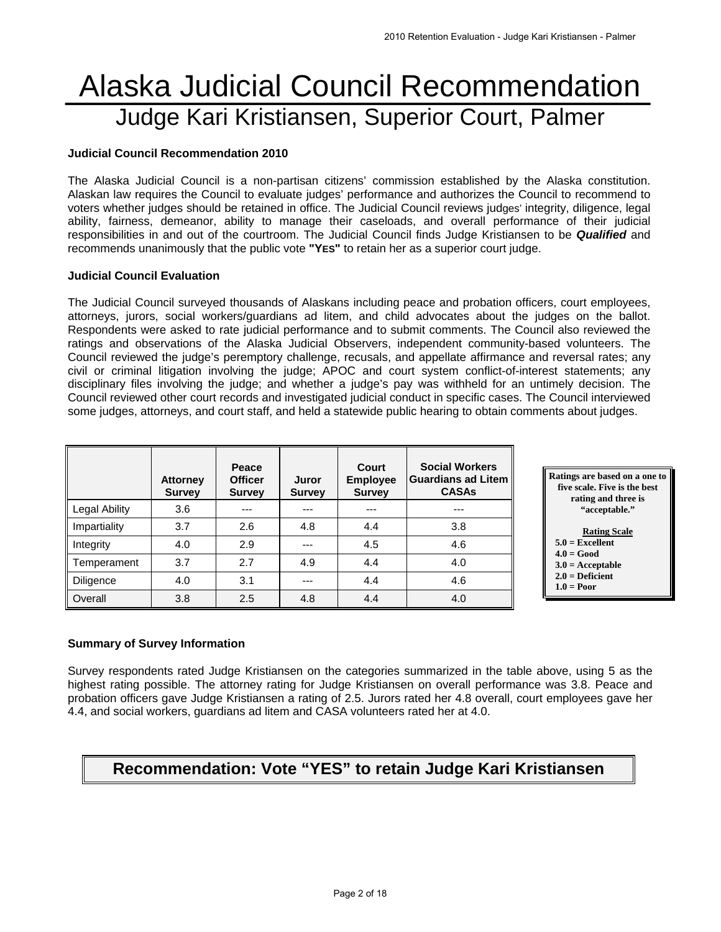# Alaska Judicial Council Recommendation Judge Kari Kristiansen, Superior Court, Palmer

#### **Judicial Council Recommendation 2010**

The Alaska Judicial Council is a non-partisan citizens' commission established by the Alaska constitution. Alaskan law requires the Council to evaluate judges' performance and authorizes the Council to recommend to voters whether judges should be retained in office. The Judicial Council reviews judges' integrity, diligence, legal ability, fairness, demeanor, ability to manage their caseloads, and overall performance of their judicial responsibilities in and out of the courtroom. The Judicial Council finds Judge Kristiansen to be *Qualified* and recommends unanimously that the public vote **"YES"** to retain her as a superior court judge.

#### **Judicial Council Evaluation**

The Judicial Council surveyed thousands of Alaskans including peace and probation officers, court employees, attorneys, jurors, social workers/guardians ad litem, and child advocates about the judges on the ballot. Respondents were asked to rate judicial performance and to submit comments. The Council also reviewed the ratings and observations of the Alaska Judicial Observers, independent community-based volunteers. The Council reviewed the judge's peremptory challenge, recusals, and appellate affirmance and reversal rates; any civil or criminal litigation involving the judge; APOC and court system conflict-of-interest statements; any disciplinary files involving the judge; and whether a judge's pay was withheld for an untimely decision. The Council reviewed other court records and investigated judicial conduct in specific cases. The Council interviewed some judges, attorneys, and court staff, and held a statewide public hearing to obtain comments about judges.

|               | <b>Attorney</b><br><b>Survey</b> | Peace<br><b>Officer</b><br><b>Survey</b> | Juror<br><b>Survey</b> | Court<br><b>Employee</b><br><b>Survey</b> | <b>Social Workers</b><br><b>Guardians ad Litem</b><br><b>CASAs</b> |
|---------------|----------------------------------|------------------------------------------|------------------------|-------------------------------------------|--------------------------------------------------------------------|
| Legal Ability | 3.6                              | ---                                      |                        | ---                                       | ---                                                                |
| Impartiality  | 3.7                              | 2.6                                      | 4.8                    | 4.4                                       | 3.8                                                                |
| Integrity     | 4.0                              | 2.9                                      |                        | 4.5                                       | 4.6                                                                |
| Temperament   | 3.7                              | 2.7                                      | 4.9                    | 4.4                                       | 4.0                                                                |
| Diligence     | 4.0                              | 3.1                                      | ---                    | 4.4                                       | 4.6                                                                |
| Overall       | 3.8                              | 2.5                                      | 4.8                    | 4.4                                       | 4.0                                                                |



 **1.0 = Poor** 

#### **Summary of Survey Information**

Survey respondents rated Judge Kristiansen on the categories summarized in the table above, using 5 as the highest rating possible. The attorney rating for Judge Kristiansen on overall performance was 3.8. Peace and probation officers gave Judge Kristiansen a rating of 2.5. Jurors rated her 4.8 overall, court employees gave her 4.4, and social workers, guardians ad litem and CASA volunteers rated her at 4.0.

# **Recommendation: Vote "YES" to retain Judge Kari Kristiansen**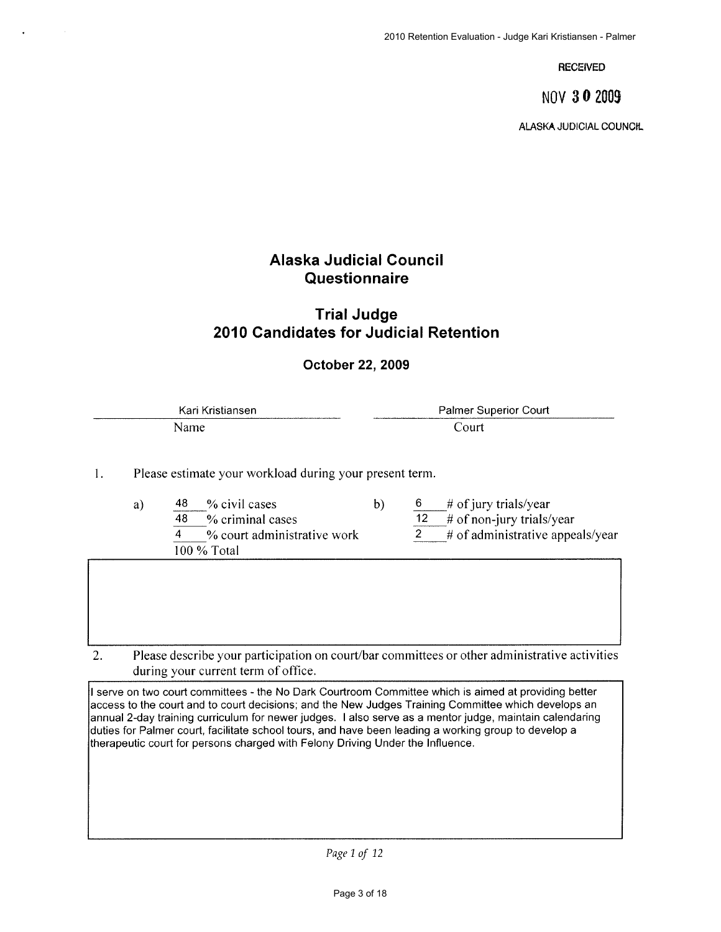**RECEIVED** 

NOV 30 2009

**ALASKA JUDICIAL COUNCIL** 

# **Alaska Judicial Council** Questionnaire

# **Trial Judge** 2010 Candidates for Judicial Retention

## October 22, 2009

Kari Kristiansen Palmer Superior Court Court Name

1. Please estimate your workload during your present term.

- 48 % civil cases  $b)$ 6 a)  $\overline{48}$  $%$  criminal cases  $\overline{2}$  $\overline{4}$ % court administrative work 100 % Total
	- # of jury trials/year

12  $\#$  of non-jury trials/year

# of administrative appeals/year

 $2.$ Please describe your participation on court/bar committees or other administrative activities during your current term of office.

I serve on two court committees - the No Dark Courtroom Committee which is aimed at providing better access to the court and to court decisions; and the New Judges Training Committee which develops an annual 2-day training curriculum for newer judges. I also serve as a mentor judge, maintain calendaring duties for Palmer court, facilitate school tours, and have been leading a working group to develop a therapeutic court for persons charged with Felony Driving Under the Influence.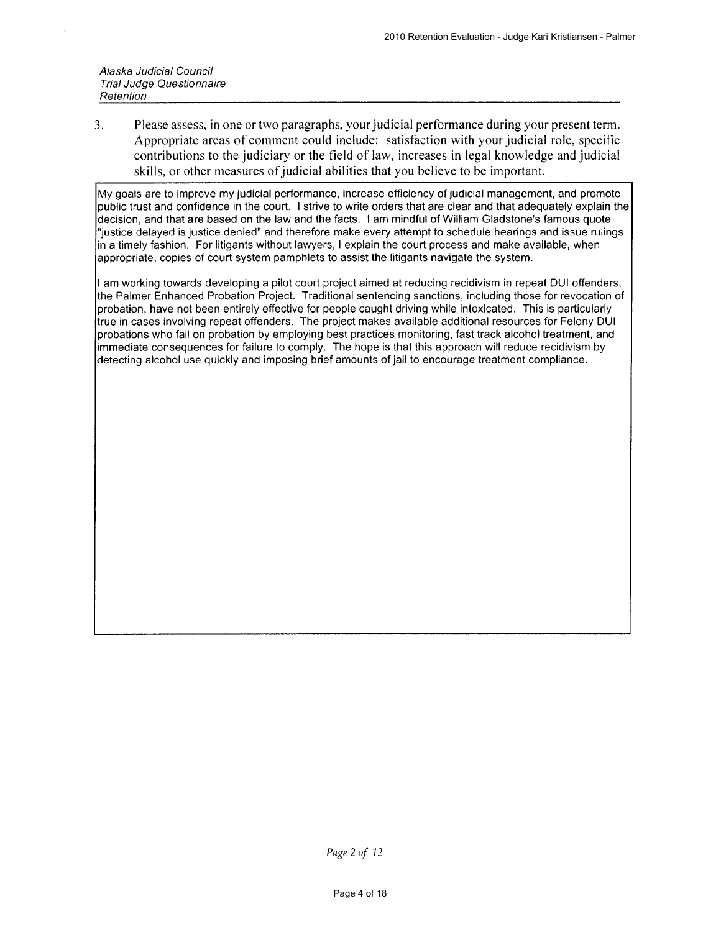$3<sub>1</sub>$ Please assess, in one or two paragraphs, your judicial performance during your present term. Appropriate areas of comment could include: satisfaction with your judicial role, specific contributions to the judiciary or the field of law, increases in legal knowledge and judicial skills, or other measures of judicial abilities that you believe to be important.

My goals are to improve my judicial performance, increase efficiency of judicial management, and promote public trust and confidence in the court. I strive to write orders that are clear and that adequately explain the decision, and that are based on the law and the facts. I am mindful of William Gladstone's famous quote "justice delayed is justice denied" and therefore make every attempt to schedule hearings and issue rulings in a timely fashion. For litigants without lawyers, I explain the court process and make available, when appropriate, copies of court system pamphlets to assist the litigants navigate the system.

I am working towards developing a pilot court project aimed at reducing recidivism in repeat DUI offenders, the Palmer Enhanced Probation Proiect. Traditional sentencing sanctions, including those for revocation of probation, have not been entirely effective for people caught driving while intoxicated. This is particularly true in cases involving repeat offenders. The project makes available additional resources for Felony DUI probations who fail on probation by employing best practices monitoring, fast track alcohol treatment, and immediate consequences for failure to comply. The hope is that this approach will reduce recidivism by detecting alcohol use quickly and imposing brief amounts of jail to encourage treatment compliance.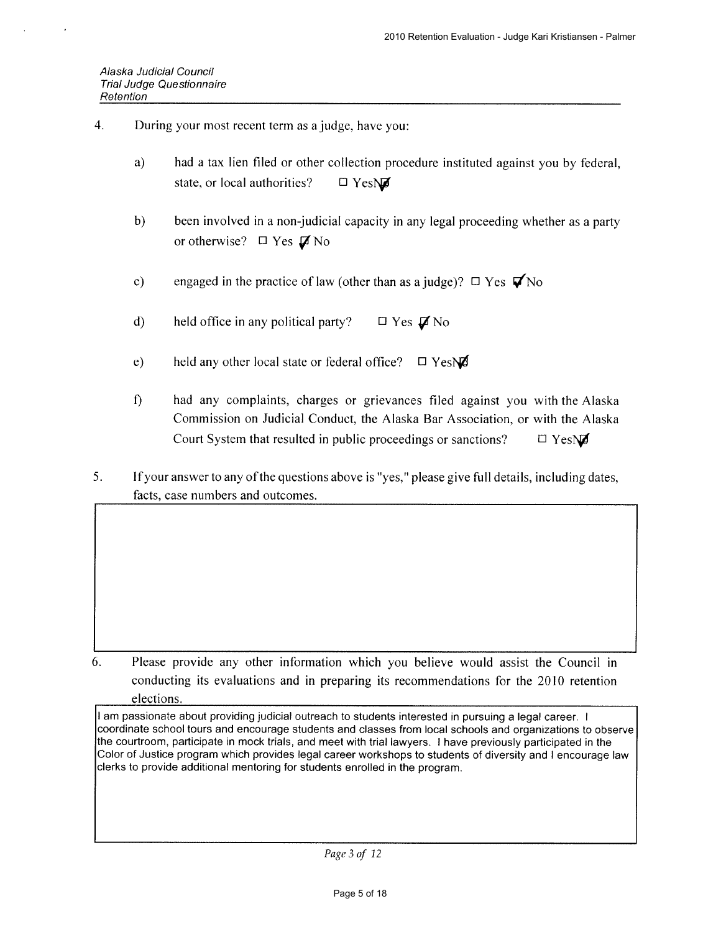- $\overline{4}$ . During your most recent term as a judge, have you:
	- $a)$ had a tax lien filed or other collection procedure instituted against you by federal, state, or local authorities?  $\Box$  Yes $\overline{\mathbf{M}}$
	- $b)$ been involved in a non-judicial capacity in any legal proceeding whether as a party or otherwise?  $\Box$  Yes  $\cancel{\Box}$  No
	- engaged in the practice of law (other than as a judge)?  $\Box$  Yes  $\blacktriangledown$  No  $c)$
	- held office in any political party?  $\mathbf{d}$  $\Box$  Yes  $\cancel{\Box}$  No
	- $e)$ held any other local state or federal office?  $\Box$  YesNO
	- $\hat{\mathbf{D}}$ had any complaints, charges or grievances filed against you with the Alaska Commission on Judicial Conduct, the Alaska Bar Association, or with the Alaska Court System that resulted in public proceedings or sanctions?  $\Box$  YesN $\Box$
- If your answer to any of the questions above is "yes," please give full details, including dates,  $5<sub>1</sub>$ facts, case numbers and outcomes.

6. Please provide any other information which you believe would assist the Council in conducting its evaluations and in preparing its recommendations for the 2010 retention elections.

I am passionate about providing judicial outreach to students interested in pursuing a legal career. I coordinate school tours and encourage students and classes from local schools and organizations to observe the courtroom, participate in mock trials, and meet with trial lawyers. I have previously participated in the Color of Justice program which provides legal career workshops to students of diversity and I encourage law clerks to provide additional mentoring for students enrolled in the program.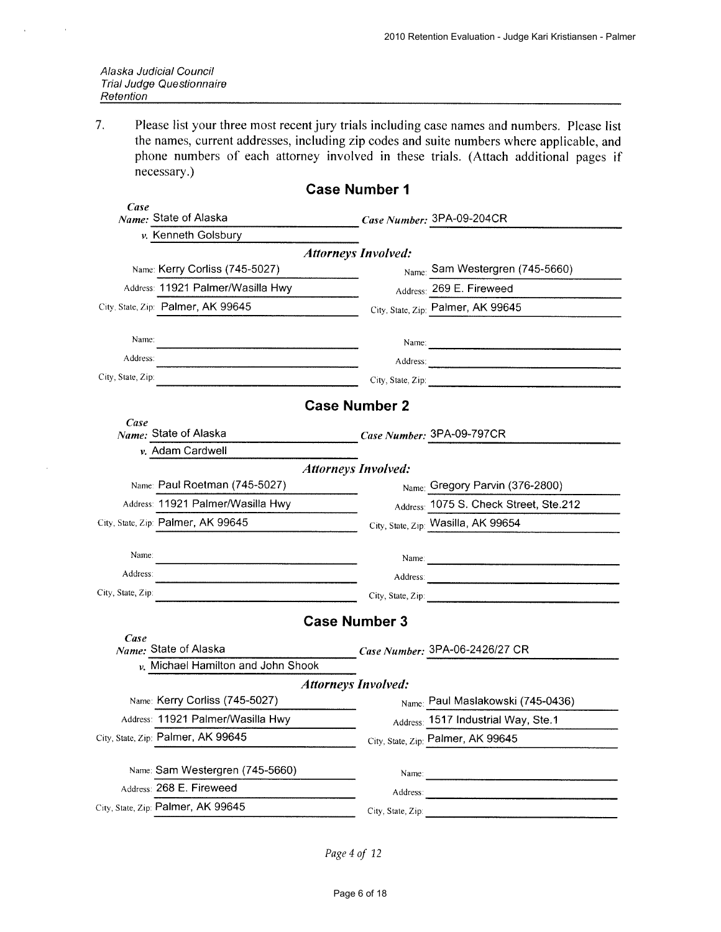$\lambda$ 

 $7.$ Please list your three most recent jury trials including case names and numbers. Please list the names, current addresses, including zip codes and suite numbers where applicable, and phone numbers of each attorney involved in these trials. (Attach additional pages if necessary.)

|                   |                                         | <b>Case Number 1</b>       |                                                                                                                                                                                                                                                                                                                                                                                                               |
|-------------------|-----------------------------------------|----------------------------|---------------------------------------------------------------------------------------------------------------------------------------------------------------------------------------------------------------------------------------------------------------------------------------------------------------------------------------------------------------------------------------------------------------|
| Case              | Name: State of Alaska                   |                            | Case Number: 3PA-09-204CR                                                                                                                                                                                                                                                                                                                                                                                     |
|                   | v. Kenneth Golsbury                     |                            |                                                                                                                                                                                                                                                                                                                                                                                                               |
|                   |                                         | <b>Attorneys Involved:</b> |                                                                                                                                                                                                                                                                                                                                                                                                               |
|                   | Name: Kerry Corliss (745-5027)          |                            | Name: Sam Westergren (745-5660)                                                                                                                                                                                                                                                                                                                                                                               |
|                   | Address: 11921 Palmer/Wasilla Hwy       |                            | Address: 269 E. Fireweed                                                                                                                                                                                                                                                                                                                                                                                      |
|                   | City, State, Zip: Palmer, AK 99645      |                            | City, State, Zip: Palmer, AK 99645                                                                                                                                                                                                                                                                                                                                                                            |
| Name:             |                                         |                            |                                                                                                                                                                                                                                                                                                                                                                                                               |
| Address:          |                                         |                            | Address:                                                                                                                                                                                                                                                                                                                                                                                                      |
| City, State, Zip. |                                         |                            | City, State, Zip: 2008. Exp. 2008. Exp. 2008. Exp. 2014. Exp. 2014. Exp. 2014. Exp. 2014. Exp. 2014. Exp. 2014.                                                                                                                                                                                                                                                                                               |
|                   |                                         | <b>Case Number 2</b>       |                                                                                                                                                                                                                                                                                                                                                                                                               |
| Case              | Name: State of Alaska                   |                            | Case Number: 3PA-09-797CR                                                                                                                                                                                                                                                                                                                                                                                     |
|                   | v. Adam Cardwell                        |                            |                                                                                                                                                                                                                                                                                                                                                                                                               |
|                   |                                         | <b>Attorneys Involved:</b> |                                                                                                                                                                                                                                                                                                                                                                                                               |
|                   | Name: Paul Roetman (745-5027)           |                            | Name: Gregory Parvin (376-2800)                                                                                                                                                                                                                                                                                                                                                                               |
|                   | Address: 11921 Palmer/Wasilla Hwy       |                            | Address: 1075 S. Check Street, Ste.212                                                                                                                                                                                                                                                                                                                                                                        |
|                   | City, State, Zip: Palmer, AK 99645      |                            | City, State, Zip: Wasilla, AK 99654                                                                                                                                                                                                                                                                                                                                                                           |
|                   |                                         |                            |                                                                                                                                                                                                                                                                                                                                                                                                               |
| Name:             |                                         |                            |                                                                                                                                                                                                                                                                                                                                                                                                               |
| Address:          |                                         |                            |                                                                                                                                                                                                                                                                                                                                                                                                               |
| City, State, Zip: |                                         |                            | City, State, Zip:                                                                                                                                                                                                                                                                                                                                                                                             |
|                   |                                         | <b>Case Number 3</b>       |                                                                                                                                                                                                                                                                                                                                                                                                               |
| Case              | Name: State of Alaska                   |                            | Case Number: 3PA-06-2426/27 CR                                                                                                                                                                                                                                                                                                                                                                                |
|                   | $\nu$ , Michael Hamilton and John Shook |                            |                                                                                                                                                                                                                                                                                                                                                                                                               |
|                   |                                         | <b>Attorneys Involved:</b> |                                                                                                                                                                                                                                                                                                                                                                                                               |
|                   | Name: Kerry Corliss (745-5027)          |                            | Name: Paul Maslakowski (745-0436)                                                                                                                                                                                                                                                                                                                                                                             |
|                   | Address: 11921 Palmer/Wasilla Hwy       |                            | Address: 1517 Industrial Way, Ste.1                                                                                                                                                                                                                                                                                                                                                                           |
|                   | City, State, Zip: Palmer, AK 99645      |                            | City, State, Zip: Palmer, AK 99645                                                                                                                                                                                                                                                                                                                                                                            |
|                   | Name: Sam Westergren (745-5660)         |                            |                                                                                                                                                                                                                                                                                                                                                                                                               |
|                   | Address: 268 E. Fireweed                |                            | Name: $\frac{1}{\sqrt{1-\frac{1}{2}}\sqrt{1-\frac{1}{2}}\sqrt{1-\frac{1}{2}}\sqrt{1-\frac{1}{2}}\sqrt{1-\frac{1}{2}}\sqrt{1-\frac{1}{2}}\sqrt{1-\frac{1}{2}}\sqrt{1-\frac{1}{2}}\sqrt{1-\frac{1}{2}}\sqrt{1-\frac{1}{2}}\sqrt{1-\frac{1}{2}}\sqrt{1-\frac{1}{2}}\sqrt{1-\frac{1}{2}}\sqrt{1-\frac{1}{2}}\sqrt{1-\frac{1}{2}}\sqrt{1-\frac{1}{2}}\sqrt{1-\frac{1}{2}}\sqrt{1-\frac{1}{2}}\sqrt{1-\frac{1}{2}}$ |
|                   | City, State, Zip: Palmer, AK 99645      | City, State, Zip:          | Address:                                                                                                                                                                                                                                                                                                                                                                                                      |
|                   |                                         |                            |                                                                                                                                                                                                                                                                                                                                                                                                               |

Page 4 of 12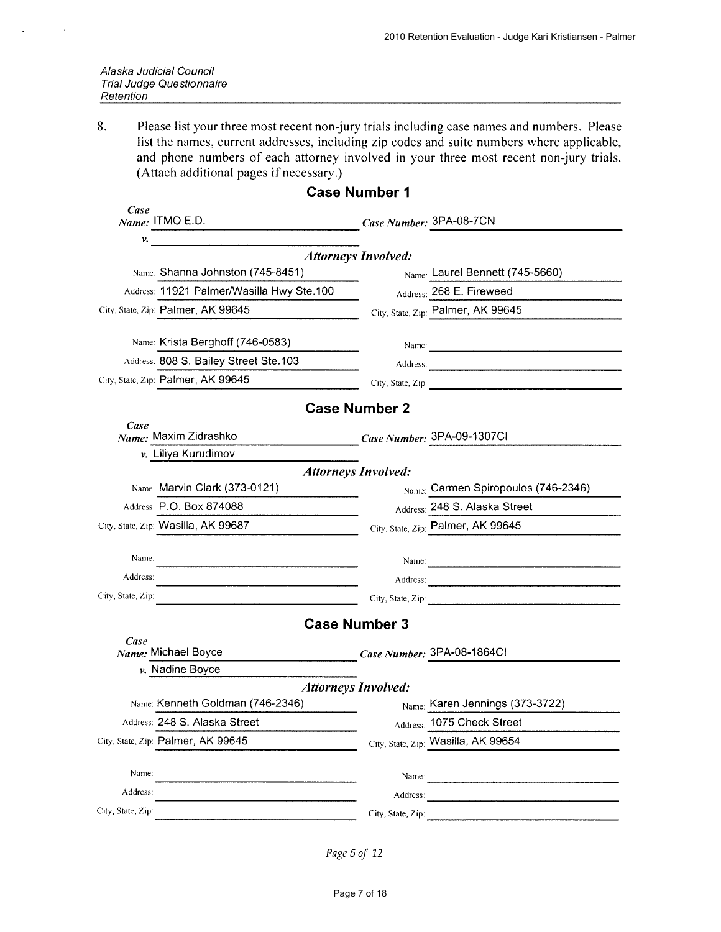| Alaska Judicial Council          |
|----------------------------------|
| <b>Trial Judge Questionnaire</b> |
| Retention                        |

8. Please list your three most recent non-jury trials including case names and numbers. Please list the names, current addresses, including zip codes and suite numbers where applicable, and phone numbers of each attorney involved in your three most recent non-jury trials. (Attach additional pages if necessary.)

| <b>Case Number 1</b> |                                           |                            |                                                                                                                                                                                                                                                                                                                                                                                                               |  |  |  |  |  |  |
|----------------------|-------------------------------------------|----------------------------|---------------------------------------------------------------------------------------------------------------------------------------------------------------------------------------------------------------------------------------------------------------------------------------------------------------------------------------------------------------------------------------------------------------|--|--|--|--|--|--|
| Case                 | $Name:$ ITMO E.D.                         | Case Number: 3PA-08-7CN    |                                                                                                                                                                                                                                                                                                                                                                                                               |  |  |  |  |  |  |
| v.                   |                                           | <b>Attorneys Involved:</b> |                                                                                                                                                                                                                                                                                                                                                                                                               |  |  |  |  |  |  |
|                      | Name: Shanna Johnston (745-8451)          |                            | Name: Laurel Bennett (745-5660)                                                                                                                                                                                                                                                                                                                                                                               |  |  |  |  |  |  |
|                      | Address: 11921 Palmer/Wasilla Hwy Ste.100 |                            | Address: 268 E. Fireweed                                                                                                                                                                                                                                                                                                                                                                                      |  |  |  |  |  |  |
|                      | City, State, Zip: Palmer, AK 99645        |                            | City, State, Zip: Palmer, AK 99645                                                                                                                                                                                                                                                                                                                                                                            |  |  |  |  |  |  |
|                      | Name: Krista Berghoff (746-0583)          |                            |                                                                                                                                                                                                                                                                                                                                                                                                               |  |  |  |  |  |  |
|                      | Address: 808 S. Bailey Street Ste.103     |                            |                                                                                                                                                                                                                                                                                                                                                                                                               |  |  |  |  |  |  |
|                      | City, State, Zip: Palmer, AK 99645        |                            | City, State, Zip: 2008. Experience of the State of Table 1. The State of Table 1. The State of Table 1. The State of Table 1. The State of Table 1. The State of Table 1. The State of Table 1. The State of Table 1. The Stat                                                                                                                                                                                |  |  |  |  |  |  |
|                      |                                           | <b>Case Number 2</b>       |                                                                                                                                                                                                                                                                                                                                                                                                               |  |  |  |  |  |  |
| Case                 | Name: Maxim Zidrashko                     |                            | Case Number: 3PA-09-1307CI                                                                                                                                                                                                                                                                                                                                                                                    |  |  |  |  |  |  |
|                      | v. Liliya Kurudimov                       |                            |                                                                                                                                                                                                                                                                                                                                                                                                               |  |  |  |  |  |  |
|                      |                                           | <b>Attorneys Involved:</b> |                                                                                                                                                                                                                                                                                                                                                                                                               |  |  |  |  |  |  |
|                      | Name: Marvin Clark (373-0121)             |                            | Name: Carmen Spiropoulos (746-2346)                                                                                                                                                                                                                                                                                                                                                                           |  |  |  |  |  |  |
|                      | Address: P.O. Box 874088                  |                            | Address: 248 S. Alaska Street                                                                                                                                                                                                                                                                                                                                                                                 |  |  |  |  |  |  |
|                      | City, State, Zip: Wasilla, AK 99687       |                            | City, State, Zip: Palmer, AK 99645                                                                                                                                                                                                                                                                                                                                                                            |  |  |  |  |  |  |
| Name:                |                                           |                            | Name: 2008. [2016] [2016] [2016] [2016] [2016] [2016] [2016] [2016] [2016] [2016] [2016] [2016] [2016] [2016] [2016] [2016] [2016] [2016] [2016] [2016] [2016] [2016] [2016] [2016] [2016] [2016] [2016] [2016] [2016] [2016]                                                                                                                                                                                 |  |  |  |  |  |  |
| Address:             |                                           |                            |                                                                                                                                                                                                                                                                                                                                                                                                               |  |  |  |  |  |  |
| City, State, Zip:    |                                           |                            | City, State, Zip: 2008. 2009. 2010. 2010. 2010. 2010. 2010. 2010. 2010. 2010. 2010. 2010. 2010. 2010. 2010. 20                                                                                                                                                                                                                                                                                                |  |  |  |  |  |  |
|                      |                                           | <b>Case Number 3</b>       |                                                                                                                                                                                                                                                                                                                                                                                                               |  |  |  |  |  |  |
| Case                 | Name: Michael Boyce                       |                            | Case Number: 3PA-08-1864Cl                                                                                                                                                                                                                                                                                                                                                                                    |  |  |  |  |  |  |
|                      | v. Nadine Boyce                           |                            |                                                                                                                                                                                                                                                                                                                                                                                                               |  |  |  |  |  |  |
|                      | <b>Attorneys Involved:</b>                |                            |                                                                                                                                                                                                                                                                                                                                                                                                               |  |  |  |  |  |  |
|                      | Name: Kenneth Goldman (746-2346)          |                            | Name: Karen Jennings (373-3722)                                                                                                                                                                                                                                                                                                                                                                               |  |  |  |  |  |  |
|                      | Address: 248 S. Alaska Street             |                            | Address: 1075 Check Street                                                                                                                                                                                                                                                                                                                                                                                    |  |  |  |  |  |  |
|                      | City, State, Zip: Palmer, AK 99645        |                            | City, State, Zip: Wasilla, AK 99654                                                                                                                                                                                                                                                                                                                                                                           |  |  |  |  |  |  |
| Name:                |                                           |                            | Name: $\frac{1}{\sqrt{1-\frac{1}{2}}\sqrt{1-\frac{1}{2}}\sqrt{1-\frac{1}{2}}\sqrt{1-\frac{1}{2}}\sqrt{1-\frac{1}{2}}\sqrt{1-\frac{1}{2}}\sqrt{1-\frac{1}{2}}\sqrt{1-\frac{1}{2}}\sqrt{1-\frac{1}{2}}\sqrt{1-\frac{1}{2}}\sqrt{1-\frac{1}{2}}\sqrt{1-\frac{1}{2}}\sqrt{1-\frac{1}{2}}\sqrt{1-\frac{1}{2}}\sqrt{1-\frac{1}{2}}\sqrt{1-\frac{1}{2}}\sqrt{1-\frac{1}{2}}\sqrt{1-\frac{1}{2}}\sqrt{1-\frac{1}{2}}$ |  |  |  |  |  |  |
| Address:             |                                           |                            | Address: Andreas Address:                                                                                                                                                                                                                                                                                                                                                                                     |  |  |  |  |  |  |
| City, State, Zip:    |                                           | City, State, Zip:          |                                                                                                                                                                                                                                                                                                                                                                                                               |  |  |  |  |  |  |
|                      |                                           |                            |                                                                                                                                                                                                                                                                                                                                                                                                               |  |  |  |  |  |  |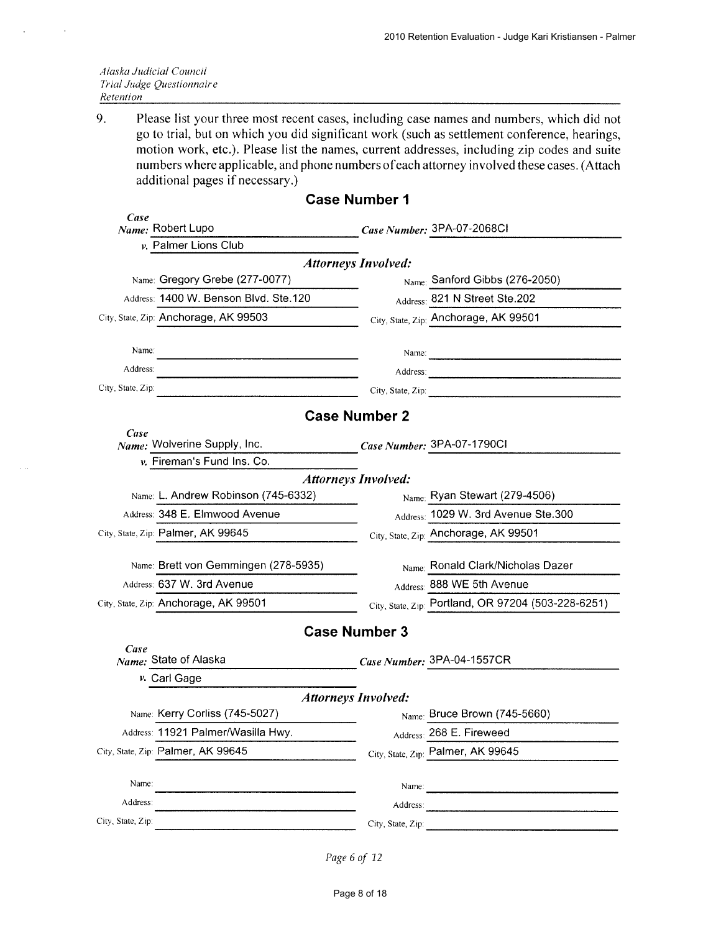| Alaska Judicial Council |                           |
|-------------------------|---------------------------|
|                         | Trial Judge Questionnaire |
| Retention               |                           |

9. Please list your three most recent cases, including case names and numbers, which did not go to trial, but on which you did significant work (such as settlement conference, hearings, motion work, etc.). Please list the names, current addresses, including zip codes and suite numbers where applicable, and phone numbers of each attorney involved these cases. (Attach additional pages if necessary.)

|                   |                                       | <b>Case Number 1</b>       |                                                                                                                                                                                                                                |
|-------------------|---------------------------------------|----------------------------|--------------------------------------------------------------------------------------------------------------------------------------------------------------------------------------------------------------------------------|
| Case              | Name: Robert Lupo                     |                            | Case Number: 3PA-07-2068CI                                                                                                                                                                                                     |
|                   | v. Palmer Lions Club                  |                            |                                                                                                                                                                                                                                |
|                   |                                       | <b>Attorneys Involved:</b> |                                                                                                                                                                                                                                |
|                   | Name: Gregory Grebe (277-0077)        |                            | Name: Sanford Gibbs (276-2050)                                                                                                                                                                                                 |
|                   | Address: 1400 W. Benson Blvd. Ste.120 |                            | Address: 821 N Street Ste.202                                                                                                                                                                                                  |
|                   | City, State, Zip: Anchorage, AK 99503 |                            | City, State, Zip: Anchorage, AK 99501                                                                                                                                                                                          |
| Name:             |                                       |                            | Name: 2008.000 million and 2008.000 million and 2008.000 million and 2008.000 million and 2008.000 million and 2008.000 million and 2008.000 million and 2008.000 million and 2008.000 million and 2008.000 million and 2008.0 |
| Address:          |                                       |                            | Address:                                                                                                                                                                                                                       |
| City, State, Zip: |                                       |                            | City, State, Zip:                                                                                                                                                                                                              |
|                   |                                       | <b>Case Number 2</b>       |                                                                                                                                                                                                                                |
| Case              | Name: Wolverine Supply, Inc.          |                            | Case Number: 3PA-07-1790CI                                                                                                                                                                                                     |
|                   | v. Fireman's Fund Ins. Co.            |                            |                                                                                                                                                                                                                                |
|                   |                                       | <b>Attorneys Involved:</b> |                                                                                                                                                                                                                                |
|                   | Name: L. Andrew Robinson (745-6332)   |                            | $_{\text{Name}:}$ Ryan Stewart (279-4506)                                                                                                                                                                                      |
|                   | Address: 348 E. Elmwood Avenue        |                            | Address: 1029 W. 3rd Avenue Ste.300                                                                                                                                                                                            |
|                   | City, State, Zip: Palmer, AK 99645    |                            | City, State, Zip: Anchorage, AK 99501                                                                                                                                                                                          |
|                   | Name: Brett von Gemmingen (278-5935)  |                            | Name: Ronald Clark/Nicholas Dazer                                                                                                                                                                                              |
|                   | Address: 637 W. 3rd Avenue            |                            | Address: 888 WE 5th Avenue                                                                                                                                                                                                     |
|                   | City, State, Zip: Anchorage, AK 99501 |                            | City, State, Zip: Portland, OR 97204 (503-228-6251)                                                                                                                                                                            |
|                   |                                       | <b>Case Number 3</b>       |                                                                                                                                                                                                                                |
| Case              | Name: State of Alaska                 |                            | Case Number: 3PA-04-1557CR                                                                                                                                                                                                     |
|                   | v. Carl Gage                          |                            |                                                                                                                                                                                                                                |
|                   |                                       | <b>Attorneys Involved:</b> |                                                                                                                                                                                                                                |
|                   | Name: Kerry Corliss (745-5027)        |                            | $_{\text{Name:}}$ Bruce Brown (745-5660)                                                                                                                                                                                       |
|                   | Address: 11921 Palmer/Wasilla Hwy.    |                            | Address: 268 E. Fireweed                                                                                                                                                                                                       |
|                   | City, State, Zip: Palmer, AK 99645    |                            | City, State, Zip: Palmer, AK 99645                                                                                                                                                                                             |
| Name:             |                                       |                            |                                                                                                                                                                                                                                |
| Address:          |                                       | Address:                   |                                                                                                                                                                                                                                |
| City, State, Zip: |                                       | City, State, Zip:          |                                                                                                                                                                                                                                |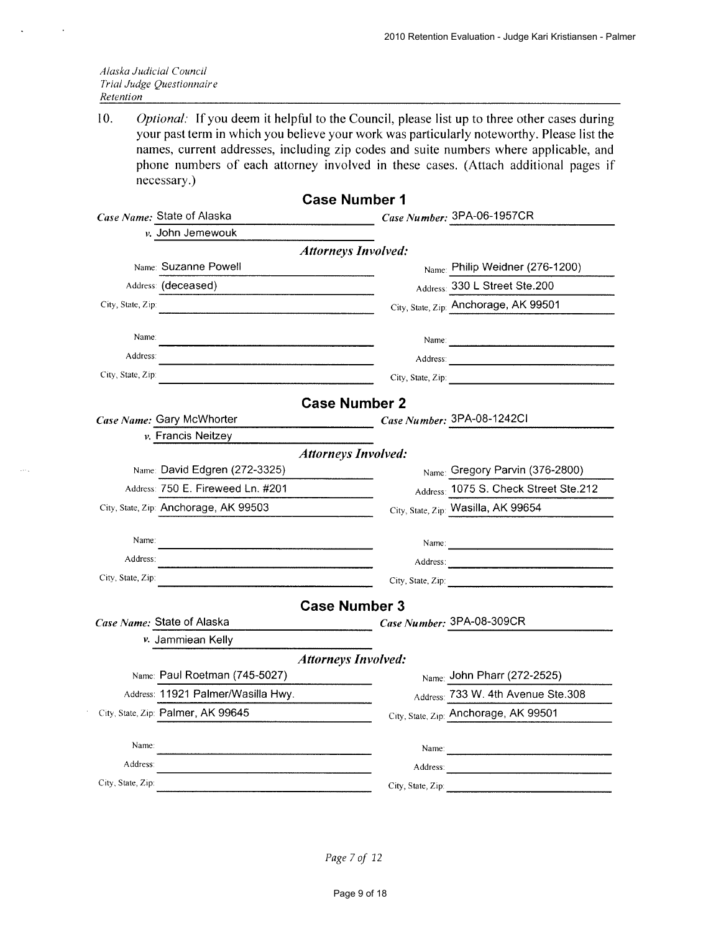| Alaska Judicial Council   |
|---------------------------|
| Trial Judge Questionnaire |
| Retention                 |

 $\ddot{\phantom{a}}$ 

 $10.$ Optional: If you deem it helpful to the Council, please list up to three other cases during your past term in which you believe your work was particularly noteworthy. Please list the names, current addresses, including zip codes and suite numbers where applicable, and phone numbers of each attorney involved in these cases. (Attach additional pages if necessary.)

|                                       | <b>Case Number 1</b>                                                                                                                                                                                                           |  |  |  |  |  |  |
|---------------------------------------|--------------------------------------------------------------------------------------------------------------------------------------------------------------------------------------------------------------------------------|--|--|--|--|--|--|
| Case Name: State of Alaska            | Case Number: 3PA-06-1957CR                                                                                                                                                                                                     |  |  |  |  |  |  |
| v. John Jemewouk                      |                                                                                                                                                                                                                                |  |  |  |  |  |  |
| <b>Attorneys Involved:</b>            |                                                                                                                                                                                                                                |  |  |  |  |  |  |
| Name: Suzanne Powell                  | Name: Philip Weidner (276-1200)                                                                                                                                                                                                |  |  |  |  |  |  |
| Address: (deceased)                   | Address: 330 L Street Ste.200                                                                                                                                                                                                  |  |  |  |  |  |  |
| City, State, Zip:                     | City, State, Zip: Anchorage, AK 99501                                                                                                                                                                                          |  |  |  |  |  |  |
|                                       |                                                                                                                                                                                                                                |  |  |  |  |  |  |
| Name:<br>Address:                     |                                                                                                                                                                                                                                |  |  |  |  |  |  |
|                                       | Address: 2008. 2008. 2009. 2009. 2009. 2009. 2009. 2009. 2009. 2009. 2009. 2009. 2009. 2009. 2009. 2009. 2009. 2009. 2009. 2009. 2009. 2009. 2009. 2009. 2009. 2009. 2009. 2009. 2009. 2009. 2009. 2009. 2009. 2009. 2009. 200 |  |  |  |  |  |  |
| City, State, Zip:                     |                                                                                                                                                                                                                                |  |  |  |  |  |  |
|                                       | <b>Case Number 2</b>                                                                                                                                                                                                           |  |  |  |  |  |  |
| Case Name: Gary McWhorter             | Case Number: 3PA-08-1242CI                                                                                                                                                                                                     |  |  |  |  |  |  |
| ν. Francis Neitzeγ                    |                                                                                                                                                                                                                                |  |  |  |  |  |  |
|                                       | <b>Attorneys Involved:</b>                                                                                                                                                                                                     |  |  |  |  |  |  |
| Name: David Edgren (272-3325)         | Name: Gregory Parvin (376-2800)                                                                                                                                                                                                |  |  |  |  |  |  |
| Address: 750 E. Fireweed Ln. #201     | Address: 1075 S. Check Street Ste.212                                                                                                                                                                                          |  |  |  |  |  |  |
| City, State, Zip: Anchorage, AK 99503 | City, State, Zip: Wasilla, AK 99654                                                                                                                                                                                            |  |  |  |  |  |  |
|                                       |                                                                                                                                                                                                                                |  |  |  |  |  |  |
| Name:                                 | Name: $\frac{1}{2}$                                                                                                                                                                                                            |  |  |  |  |  |  |
| Address:                              |                                                                                                                                                                                                                                |  |  |  |  |  |  |
| City, State, Zip:                     | City, State, Zip:                                                                                                                                                                                                              |  |  |  |  |  |  |
|                                       | <b>Case Number 3</b>                                                                                                                                                                                                           |  |  |  |  |  |  |
| Case Name: State of Alaska            | Case Number: 3PA-08-309CR                                                                                                                                                                                                      |  |  |  |  |  |  |
| v. Jammiean Kelly                     |                                                                                                                                                                                                                                |  |  |  |  |  |  |
|                                       | <b>Attorneys Involved:</b>                                                                                                                                                                                                     |  |  |  |  |  |  |
| Name: Paul Roetman (745-5027)         | Name: John Pharr (272-2525)                                                                                                                                                                                                    |  |  |  |  |  |  |
| Address: 11921 Palmer/Wasilla Hwy.    | Address: 733 W. 4th Avenue Ste.308                                                                                                                                                                                             |  |  |  |  |  |  |
| City, State, Zip: Palmer, AK 99645    | City, State, Zip: Anchorage, AK 99501                                                                                                                                                                                          |  |  |  |  |  |  |
|                                       |                                                                                                                                                                                                                                |  |  |  |  |  |  |
| Name:                                 | Name: Name: 2008. And 2008. The contract of the contract of the contract of the contract of the contract of the contract of the contract of the contract of the contract of the contract of the contract of the contract of th |  |  |  |  |  |  |
| Address:                              |                                                                                                                                                                                                                                |  |  |  |  |  |  |
| City, State, Zip:                     | City, State, Zip:                                                                                                                                                                                                              |  |  |  |  |  |  |
|                                       |                                                                                                                                                                                                                                |  |  |  |  |  |  |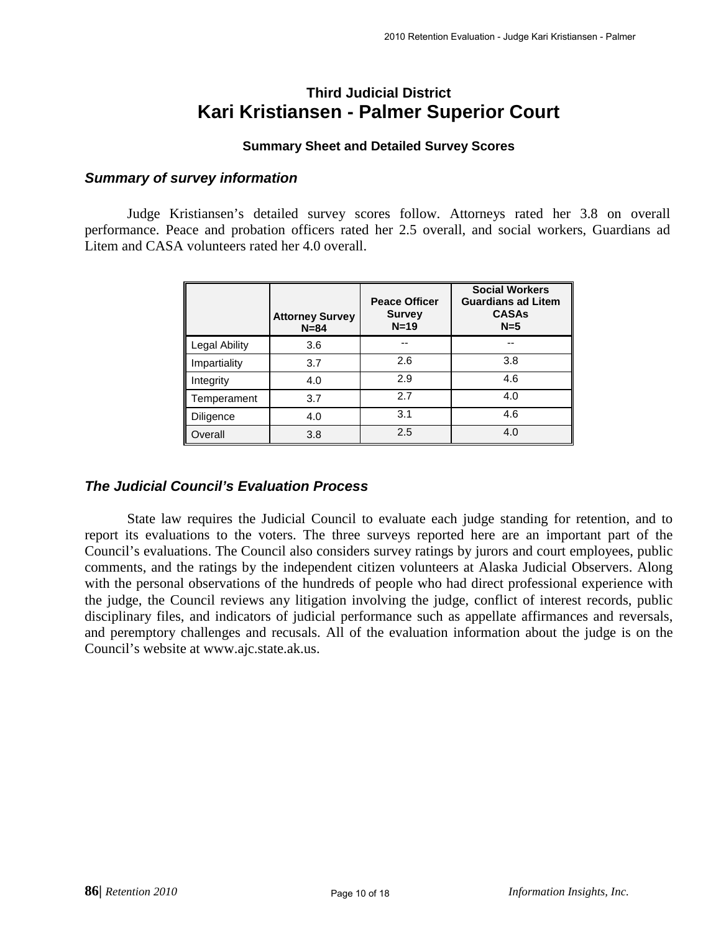# **Third Judicial District Kari Kristiansen - Palmer Superior Court**

#### **Summary Sheet and Detailed Survey Scores**

#### *Summary of survey information*

Judge Kristiansen's detailed survey scores follow. Attorneys rated her 3.8 on overall performance. Peace and probation officers rated her 2.5 overall, and social workers, Guardians ad Litem and CASA volunteers rated her 4.0 overall.

|               | <b>Attorney Survey</b><br>$N = 84$ | <b>Peace Officer</b><br><b>Survey</b><br>$N=19$ | <b>Social Workers</b><br><b>Guardians ad Litem</b><br><b>CASAs</b><br>$N=5$ |
|---------------|------------------------------------|-------------------------------------------------|-----------------------------------------------------------------------------|
| Legal Ability | 3.6                                | --                                              |                                                                             |
| Impartiality  | 3.7                                | 2.6                                             | 3.8                                                                         |
| Integrity     | 4.0                                | 2.9                                             | 4.6                                                                         |
| Temperament   | 3.7                                | 2.7                                             | 4.0                                                                         |
| Diligence     | 4.0                                | 3.1                                             | 4.6                                                                         |
| Overall       | 3.8                                | 2.5                                             | 4.0                                                                         |

#### *The Judicial Council's Evaluation Process*

State law requires the Judicial Council to evaluate each judge standing for retention, and to report its evaluations to the voters. The three surveys reported here are an important part of the Council's evaluations. The Council also considers survey ratings by jurors and court employees, public comments, and the ratings by the independent citizen volunteers at Alaska Judicial Observers. Along with the personal observations of the hundreds of people who had direct professional experience with the judge, the Council reviews any litigation involving the judge, conflict of interest records, public disciplinary files, and indicators of judicial performance such as appellate affirmances and reversals, and peremptory challenges and recusals. All of the evaluation information about the judge is on the Council's website at www.ajc.state.ak.us.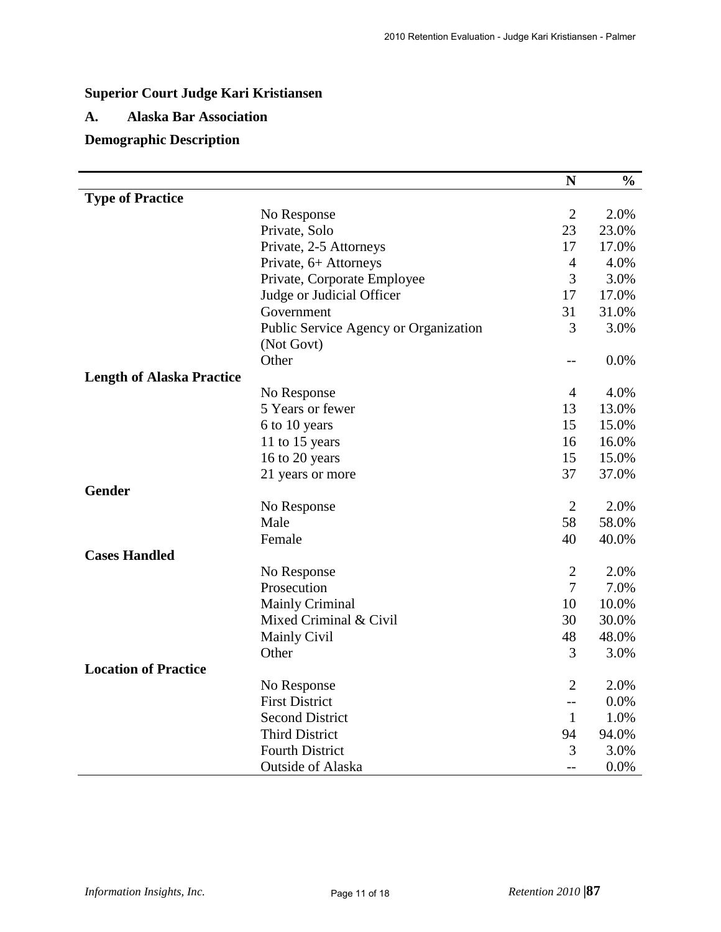# **Superior Court Judge Kari Kristiansen**

#### **A. Alaska Bar Association**

# **Demographic Description**

|                                  |                                       | $\mathbf N$    | $\frac{0}{0}$ |
|----------------------------------|---------------------------------------|----------------|---------------|
| <b>Type of Practice</b>          |                                       |                |               |
|                                  | No Response                           | $\overline{2}$ | 2.0%          |
|                                  | Private, Solo                         | 23             | 23.0%         |
|                                  | Private, 2-5 Attorneys                | 17             | 17.0%         |
|                                  | Private, 6+ Attorneys                 | $\overline{4}$ | 4.0%          |
|                                  | Private, Corporate Employee           | 3              | 3.0%          |
|                                  | Judge or Judicial Officer             | 17             | 17.0%         |
|                                  | Government                            | 31             | 31.0%         |
|                                  | Public Service Agency or Organization | 3              | 3.0%          |
|                                  | (Not Govt)                            |                |               |
|                                  | Other                                 | $-$            | 0.0%          |
| <b>Length of Alaska Practice</b> |                                       |                |               |
|                                  | No Response                           | $\overline{4}$ | 4.0%          |
|                                  | 5 Years or fewer                      | 13             | 13.0%         |
|                                  | 6 to 10 years                         | 15             | 15.0%         |
|                                  | 11 to 15 years                        | 16             | 16.0%         |
|                                  | 16 to 20 years                        | 15             | 15.0%         |
|                                  | 21 years or more                      | 37             | 37.0%         |
| <b>Gender</b>                    |                                       |                |               |
|                                  | No Response                           | $\overline{2}$ | 2.0%          |
|                                  | Male                                  | 58             | 58.0%         |
|                                  | Female                                | 40             | 40.0%         |
| <b>Cases Handled</b>             |                                       |                |               |
|                                  | No Response                           | $\overline{2}$ | 2.0%          |
|                                  | Prosecution                           | $\overline{7}$ | 7.0%          |
|                                  | <b>Mainly Criminal</b>                | 10             | 10.0%         |
|                                  | Mixed Criminal & Civil                | 30             | 30.0%         |
|                                  | <b>Mainly Civil</b>                   | 48             | 48.0%         |
|                                  | Other                                 | 3              | 3.0%          |
| <b>Location of Practice</b>      |                                       |                |               |
|                                  | No Response                           | $\overline{2}$ | 2.0%          |
|                                  | <b>First District</b>                 | $-$            | 0.0%          |
|                                  | <b>Second District</b>                | $\mathbf{1}$   | 1.0%          |
|                                  | <b>Third District</b>                 | 94             | 94.0%         |
|                                  | <b>Fourth District</b>                | 3              | 3.0%          |
|                                  | <b>Outside of Alaska</b>              | $-$            | 0.0%          |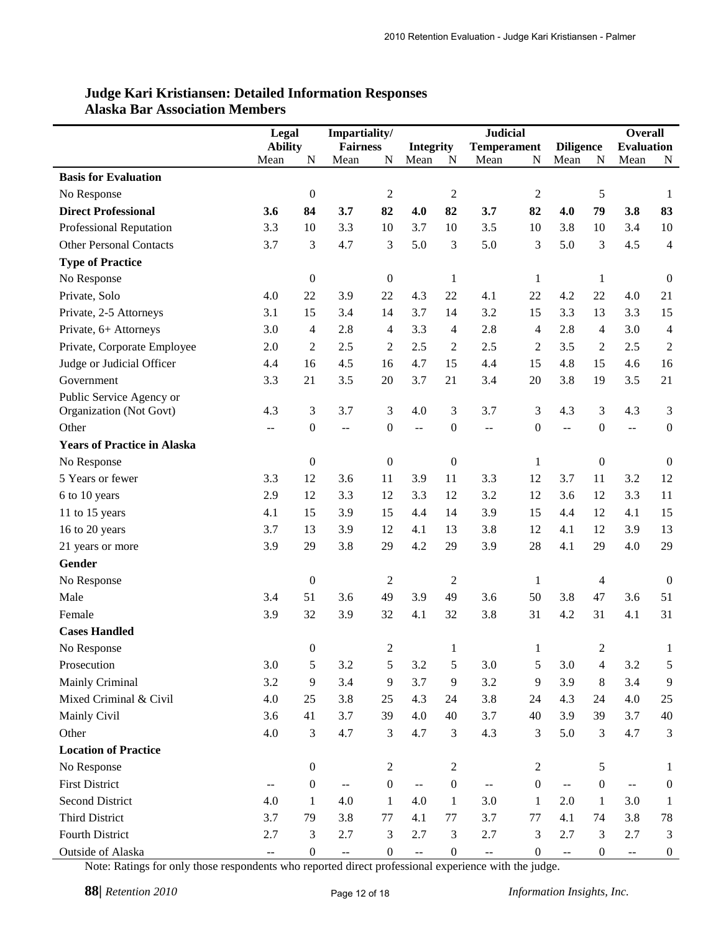|                                    | Legal<br>Impartiality/ |                  |                                               | <b>Judicial</b>  |                          |                  |                                               |                  |                          | <b>Overall</b>   |                          |                  |
|------------------------------------|------------------------|------------------|-----------------------------------------------|------------------|--------------------------|------------------|-----------------------------------------------|------------------|--------------------------|------------------|--------------------------|------------------|
|                                    | <b>Ability</b>         |                  | <b>Fairness</b>                               |                  | <b>Integrity</b>         |                  | <b>Temperament</b>                            |                  | <b>Diligence</b>         |                  | <b>Evaluation</b>        |                  |
|                                    | Mean                   | N                | Mean                                          | N                | Mean                     | N                | Mean                                          | N                | Mean                     | N                | Mean                     | N                |
| <b>Basis for Evaluation</b>        |                        |                  |                                               |                  |                          |                  |                                               |                  |                          |                  |                          |                  |
| No Response                        |                        | $\boldsymbol{0}$ |                                               | $\sqrt{2}$       |                          | $\overline{2}$   |                                               | $\overline{2}$   |                          | $\mathfrak s$    |                          | 1                |
| <b>Direct Professional</b>         | 3.6                    | 84               | 3.7                                           | 82               | 4.0                      | 82               | 3.7                                           | 82               | 4.0                      | 79               | 3.8                      | 83               |
| <b>Professional Reputation</b>     | 3.3                    | 10               | 3.3                                           | 10               | 3.7                      | 10               | 3.5                                           | 10               | 3.8                      | 10               | 3.4                      | 10               |
| <b>Other Personal Contacts</b>     | 3.7                    | 3                | 4.7                                           | 3                | 5.0                      | 3                | 5.0                                           | 3                | 5.0                      | 3                | 4.5                      | $\overline{4}$   |
| <b>Type of Practice</b>            |                        |                  |                                               |                  |                          |                  |                                               |                  |                          |                  |                          |                  |
| No Response                        |                        | $\boldsymbol{0}$ |                                               | $\boldsymbol{0}$ |                          | $\mathbf{1}$     |                                               | $\mathbf{1}$     |                          | $\mathbf{1}$     |                          | $\boldsymbol{0}$ |
| Private, Solo                      | 4.0                    | 22               | 3.9                                           | 22               | 4.3                      | 22               | 4.1                                           | 22               | 4.2                      | 22               | 4.0                      | 21               |
| Private, 2-5 Attorneys             | 3.1                    | 15               | 3.4                                           | 14               | 3.7                      | 14               | 3.2                                           | 15               | 3.3                      | 13               | 3.3                      | 15               |
| Private, 6+ Attorneys              | 3.0                    | 4                | 2.8                                           | $\overline{4}$   | 3.3                      | $\overline{4}$   | 2.8                                           | $\overline{4}$   | 2.8                      | 4                | 3.0                      | 4                |
| Private, Corporate Employee        | 2.0                    | $\overline{c}$   | 2.5                                           | $\overline{c}$   | 2.5                      | $\overline{c}$   | 2.5                                           | $\overline{c}$   | 3.5                      | $\overline{c}$   | 2.5                      | $\overline{c}$   |
| Judge or Judicial Officer          | 4.4                    | 16               | 4.5                                           | 16               | 4.7                      | 15               | 4.4                                           | 15               | 4.8                      | 15               | 4.6                      | 16               |
| Government                         | 3.3                    | 21               | 3.5                                           | 20               | 3.7                      | 21               | 3.4                                           | 20               | 3.8                      | 19               | 3.5                      | 21               |
| Public Service Agency or           |                        |                  |                                               |                  |                          |                  |                                               |                  |                          |                  |                          |                  |
| Organization (Not Govt)            | 4.3                    | 3                | 3.7                                           | 3                | 4.0                      | 3                | 3.7                                           | $\mathfrak{Z}$   | 4.3                      | 3                | 4.3                      | 3                |
| Other                              | $- -$                  | $\boldsymbol{0}$ | --                                            | $\boldsymbol{0}$ | $\overline{a}$           | $\boldsymbol{0}$ | $- -$                                         | $\boldsymbol{0}$ | $\overline{\phantom{a}}$ | $\mathbf{0}$     | ÷-                       | $\boldsymbol{0}$ |
| <b>Years of Practice in Alaska</b> |                        |                  |                                               |                  |                          |                  |                                               |                  |                          |                  |                          |                  |
| No Response                        |                        | $\boldsymbol{0}$ |                                               | $\boldsymbol{0}$ |                          | $\boldsymbol{0}$ |                                               | 1                |                          | $\boldsymbol{0}$ |                          | $\boldsymbol{0}$ |
| 5 Years or fewer                   | 3.3                    | 12               | 3.6                                           | 11               | 3.9                      | 11               | 3.3                                           | 12               | 3.7                      | 11               | 3.2                      | 12               |
| 6 to 10 years                      | 2.9                    | 12               | 3.3                                           | 12               | 3.3                      | 12               | 3.2                                           | 12               | 3.6                      | 12               | 3.3                      | 11               |
| 11 to 15 years                     | 4.1                    | 15               | 3.9                                           | 15               | 4.4                      | 14               | 3.9                                           | 15               | 4.4                      | 12               | 4.1                      | 15               |
| 16 to 20 years                     | 3.7                    | 13               | 3.9                                           | 12               | 4.1                      | 13               | 3.8                                           | 12               | 4.1                      | 12               | 3.9                      | 13               |
| 21 years or more                   | 3.9                    | 29               | 3.8                                           | 29               | 4.2                      | 29               | 3.9                                           | 28               | 4.1                      | 29               | 4.0                      | 29               |
| <b>Gender</b>                      |                        |                  |                                               |                  |                          |                  |                                               |                  |                          |                  |                          |                  |
| No Response                        |                        | $\boldsymbol{0}$ |                                               | $\mathbf{2}$     |                          | 2                |                                               | $\mathbf{1}$     |                          | 4                |                          | $\boldsymbol{0}$ |
| Male                               | 3.4                    | 51               | 3.6                                           | 49               | 3.9                      | 49               | 3.6                                           | 50               | 3.8                      | 47               | 3.6                      | 51               |
| Female                             | 3.9                    | 32               | 3.9                                           | 32               | 4.1                      | 32               | 3.8                                           | 31               | 4.2                      | 31               | 4.1                      | 31               |
| <b>Cases Handled</b>               |                        |                  |                                               |                  |                          |                  |                                               |                  |                          |                  |                          |                  |
| No Response                        |                        | $\Omega$         |                                               | 2                |                          |                  |                                               |                  |                          | 2                |                          |                  |
| Prosecution                        | 3.0                    | 5                | 3.2                                           | 5                | 3.2                      | 5                | 3.0                                           | $\sqrt{5}$       | 3.0                      | 4                | 3.2                      | 5                |
| Mainly Criminal                    | 3.2                    | 9                | 3.4                                           | 9                | 3.7                      | 9                | 3.2                                           | 9                | 3.9                      | 8                | 3.4                      | 9                |
| Mixed Criminal & Civil             | 4.0                    | 25               | 3.8                                           | 25               | 4.3                      | 24               | 3.8                                           | 24               | 4.3                      | 24               | 4.0                      | 25               |
| Mainly Civil                       | 3.6                    | 41               | 3.7                                           | 39               | 4.0                      | 40               | 3.7                                           | 40               | 3.9                      | 39               | 3.7                      | 40               |
| Other                              | 4.0                    | 3                | 4.7                                           | 3                | 4.7                      | 3                | 4.3                                           | 3                | 5.0                      | 3                | 4.7                      | 3                |
| <b>Location of Practice</b>        |                        |                  |                                               |                  |                          |                  |                                               |                  |                          |                  |                          |                  |
| No Response                        |                        | $\boldsymbol{0}$ |                                               | $\sqrt{2}$       |                          | $\overline{c}$   |                                               | $\boldsymbol{2}$ |                          | 5                |                          | 1                |
| <b>First District</b>              | $-$                    | $\boldsymbol{0}$ | $\mathord{\hspace{1pt}\text{--}\hspace{1pt}}$ | $\boldsymbol{0}$ | $\overline{\phantom{a}}$ | $\boldsymbol{0}$ | $\mathord{\hspace{1pt}\text{--}\hspace{1pt}}$ | $\boldsymbol{0}$ | $\overline{\phantom{a}}$ | $\boldsymbol{0}$ | $\overline{\phantom{m}}$ | $\boldsymbol{0}$ |
| <b>Second District</b>             | 4.0                    | 1                | 4.0                                           | $\mathbf{1}$     | 4.0                      | $\mathbf{1}$     | 3.0                                           | $\mathbf{1}$     | 2.0                      | 1                | 3.0                      | 1                |
| <b>Third District</b>              | 3.7                    | 79               | 3.8                                           | 77               | 4.1                      | 77               | 3.7                                           | 77               | 4.1                      | 74               | 3.8                      | 78               |
| Fourth District                    | 2.7                    | $\mathfrak{Z}$   | 2.7                                           | 3                | 2.7                      | $\mathfrak{Z}$   | 2.7                                           | 3                | 2.7                      | 3                | 2.7                      | 3                |
| Outside of Alaska                  | --                     | $\boldsymbol{0}$ | $\overline{\phantom{a}}$                      | $\boldsymbol{0}$ | $\overline{\phantom{a}}$ | $\boldsymbol{0}$ | $\overline{\phantom{a}}$                      | $\boldsymbol{0}$ | --                       | $\boldsymbol{0}$ | --                       | $\boldsymbol{0}$ |

#### **Judge Kari Kristiansen: Detailed Information Responses Alaska Bar Association Members**

Note: Ratings for only those respondents who reported direct professional experience with the judge.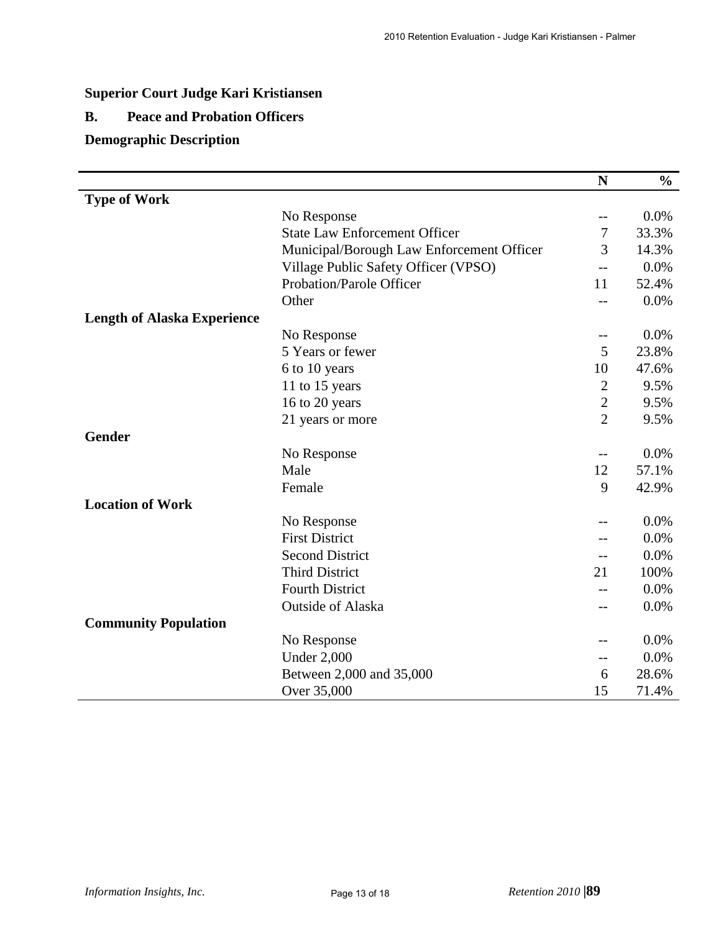# **Superior Court Judge Kari Kristiansen**

## **B. Peace and Probation Officers**

## **Demographic Description**

|                                    |                                           | N              | $\frac{0}{0}$ |
|------------------------------------|-------------------------------------------|----------------|---------------|
| <b>Type of Work</b>                |                                           |                |               |
|                                    | No Response                               | $-$            | 0.0%          |
|                                    | <b>State Law Enforcement Officer</b>      | 7              | 33.3%         |
|                                    | Municipal/Borough Law Enforcement Officer | 3              | 14.3%         |
|                                    | Village Public Safety Officer (VPSO)      | --             | 0.0%          |
|                                    | Probation/Parole Officer                  | 11             | 52.4%         |
|                                    | Other                                     | $-$            | 0.0%          |
| <b>Length of Alaska Experience</b> |                                           |                |               |
|                                    | No Response                               | --             | 0.0%          |
|                                    | 5 Years or fewer                          | 5              | 23.8%         |
|                                    | 6 to 10 years                             | 10             | 47.6%         |
|                                    | 11 to 15 years                            | $\overline{2}$ | 9.5%          |
|                                    | 16 to 20 years                            | $\overline{c}$ | 9.5%          |
|                                    | 21 years or more                          | $\overline{2}$ | 9.5%          |
| <b>Gender</b>                      |                                           |                |               |
|                                    | No Response                               | $-$            | 0.0%          |
|                                    | Male                                      | 12             | 57.1%         |
|                                    | Female                                    | 9              | 42.9%         |
| <b>Location of Work</b>            |                                           |                |               |
|                                    | No Response                               | --             | 0.0%          |
|                                    | <b>First District</b>                     |                | 0.0%          |
|                                    | <b>Second District</b>                    | $-$            | 0.0%          |
|                                    | <b>Third District</b>                     | 21             | 100%          |
|                                    | <b>Fourth District</b>                    |                | 0.0%          |
|                                    | Outside of Alaska                         | --             | 0.0%          |
| <b>Community Population</b>        |                                           |                |               |
|                                    | No Response                               | --             | 0.0%          |
|                                    | <b>Under 2,000</b>                        | $-$            | 0.0%          |
|                                    | Between 2,000 and 35,000                  | 6              | 28.6%         |
|                                    | Over 35,000                               | 15             | 71.4%         |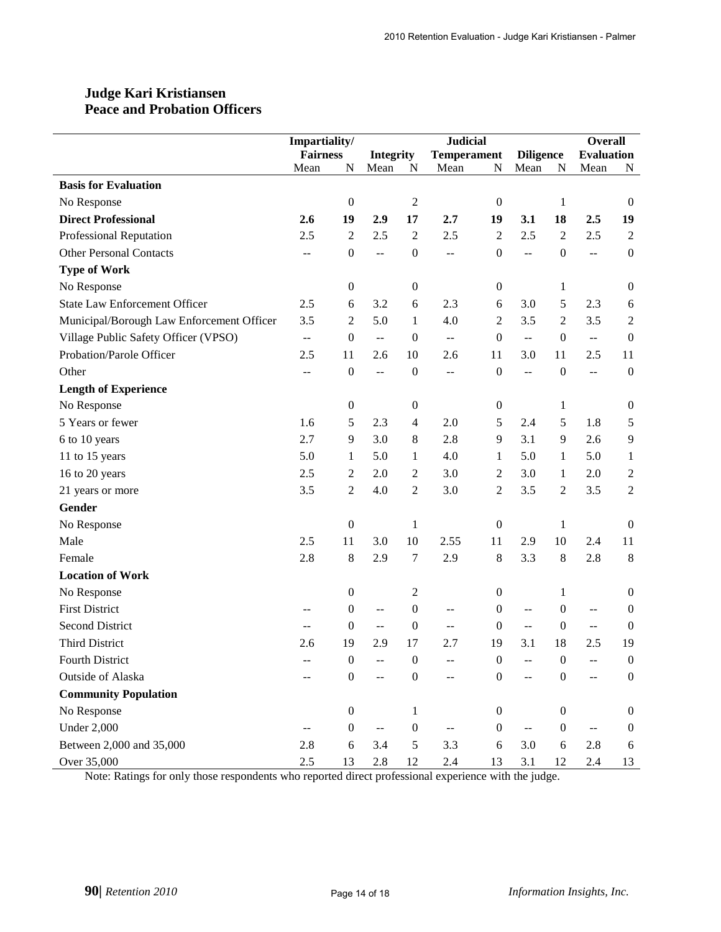## **Judge Kari Kristiansen Peace and Probation Officers**

|                                           | Impartiality/   |                  |                           |                  | <b>Judicial</b>    |                  |                                               | <b>Overall</b>   |                   |                  |
|-------------------------------------------|-----------------|------------------|---------------------------|------------------|--------------------|------------------|-----------------------------------------------|------------------|-------------------|------------------|
|                                           | <b>Fairness</b> |                  | <b>Integrity</b>          |                  | <b>Temperament</b> |                  | <b>Diligence</b>                              |                  | <b>Evaluation</b> |                  |
|                                           | Mean            | N                | Mean                      | N                | Mean               | ${\bf N}$        | Mean                                          | ${\bf N}$        | Mean              | N                |
| <b>Basis for Evaluation</b>               |                 |                  |                           |                  |                    |                  |                                               |                  |                   |                  |
| No Response                               |                 | $\boldsymbol{0}$ |                           | $\boldsymbol{2}$ |                    | $\boldsymbol{0}$ |                                               | 1                |                   | $\mathbf{0}$     |
| <b>Direct Professional</b>                | 2.6             | 19               | 2.9                       | 17               | 2.7                | 19               | 3.1                                           | 18               | 2.5               | 19               |
| Professional Reputation                   | 2.5             | $\overline{c}$   | 2.5                       | $\sqrt{2}$       | 2.5                | $\overline{c}$   | 2.5                                           | $\overline{2}$   | 2.5               | $\sqrt{2}$       |
| <b>Other Personal Contacts</b>            | $\overline{a}$  | $\boldsymbol{0}$ | $\overline{a}$            | $\boldsymbol{0}$ | $\overline{a}$     | $\boldsymbol{0}$ | $\overline{a}$                                | $\boldsymbol{0}$ | u.                | $\boldsymbol{0}$ |
| <b>Type of Work</b>                       |                 |                  |                           |                  |                    |                  |                                               |                  |                   |                  |
| No Response                               |                 | $\boldsymbol{0}$ |                           | $\boldsymbol{0}$ |                    | $\boldsymbol{0}$ |                                               | 1                |                   | $\boldsymbol{0}$ |
| <b>State Law Enforcement Officer</b>      | 2.5             | 6                | 3.2                       | 6                | 2.3                | 6                | 3.0                                           | 5                | 2.3               | 6                |
| Municipal/Borough Law Enforcement Officer | 3.5             | $\overline{c}$   | 5.0                       | $\mathbf{1}$     | 4.0                | 2                | 3.5                                           | $\overline{2}$   | 3.5               | $\overline{c}$   |
| Village Public Safety Officer (VPSO)      | $\overline{a}$  | $\boldsymbol{0}$ | $\mathbb{L}^{\mathbb{L}}$ | $\boldsymbol{0}$ | $\pm$ $\pm$        | $\boldsymbol{0}$ | $\mathbb{L}^{\mathbb{L}}$                     | $\boldsymbol{0}$ | $\mathbb{L}^2$    | $\boldsymbol{0}$ |
| Probation/Parole Officer                  | 2.5             | 11               | 2.6                       | 10               | 2.6                | 11               | 3.0                                           | 11               | 2.5               | 11               |
| Other                                     | $-$             | $\boldsymbol{0}$ | $\sim$                    | $\boldsymbol{0}$ | $-$                | $\boldsymbol{0}$ | $\mathord{\hspace{1pt}\text{--}\hspace{1pt}}$ | $\boldsymbol{0}$ | $\overline{a}$    | $\boldsymbol{0}$ |
| <b>Length of Experience</b>               |                 |                  |                           |                  |                    |                  |                                               |                  |                   |                  |
| No Response                               |                 | $\boldsymbol{0}$ |                           | $\boldsymbol{0}$ |                    | $\boldsymbol{0}$ |                                               | 1                |                   | $\boldsymbol{0}$ |
| 5 Years or fewer                          | 1.6             | 5                | 2.3                       | $\overline{4}$   | 2.0                | 5                | 2.4                                           | 5                | 1.8               | 5                |
| 6 to 10 years                             | 2.7             | 9                | 3.0                       | $\,8\,$          | 2.8                | 9                | 3.1                                           | $\overline{9}$   | 2.6               | 9                |
| 11 to 15 years                            | 5.0             | $\mathbf{1}$     | 5.0                       | $\mathbf{1}$     | 4.0                | 1                | 5.0                                           | 1                | 5.0               | $\mathbf{1}$     |
| 16 to 20 years                            | 2.5             | $\overline{c}$   | 2.0                       | $\sqrt{2}$       | 3.0                | $\mathbf{2}$     | 3.0                                           | 1                | 2.0               | $\boldsymbol{2}$ |
| 21 years or more                          | 3.5             | $\overline{c}$   | 4.0                       | $\sqrt{2}$       | 3.0                | $\overline{c}$   | 3.5                                           | $\overline{2}$   | 3.5               | $\overline{2}$   |
| Gender                                    |                 |                  |                           |                  |                    |                  |                                               |                  |                   |                  |
| No Response                               |                 | $\boldsymbol{0}$ |                           | $\mathbf{1}$     |                    | $\boldsymbol{0}$ |                                               | 1                |                   | $\boldsymbol{0}$ |
| Male                                      | 2.5             | 11               | 3.0                       | 10               | 2.55               | 11               | 2.9                                           | 10               | 2.4               | 11               |
| Female                                    | 2.8             | $\,8\,$          | 2.9                       | 7                | 2.9                | 8                | 3.3                                           | $\,8\,$          | 2.8               | 8                |
| <b>Location of Work</b>                   |                 |                  |                           |                  |                    |                  |                                               |                  |                   |                  |
| No Response                               |                 | $\boldsymbol{0}$ |                           | $\overline{c}$   |                    | 0                |                                               | 1                |                   | $\boldsymbol{0}$ |
| <b>First District</b>                     |                 | $\boldsymbol{0}$ | $\overline{a}$            | $\boldsymbol{0}$ | --                 | $\boldsymbol{0}$ | $\overline{a}$                                | $\boldsymbol{0}$ | $-$               | $\boldsymbol{0}$ |
| <b>Second District</b>                    | $-$             | $\boldsymbol{0}$ | $\overline{\phantom{m}}$  | $\boldsymbol{0}$ | --                 | $\boldsymbol{0}$ | $\sim$ $-$                                    | $\boldsymbol{0}$ | $\sim$ $\sim$     | $\boldsymbol{0}$ |
| <b>Third District</b>                     | 2.6             | 19               | 2.9                       | 17               | 2.7                | 19               | 3.1                                           | 18               | 2.5               | 19               |
| Fourth District                           |                 | $\boldsymbol{0}$ |                           | $\boldsymbol{0}$ |                    | 0                |                                               | $\overline{0}$   |                   | $\boldsymbol{0}$ |
| Outside of Alaska                         |                 | $\boldsymbol{0}$ | $-$                       | $\boldsymbol{0}$ | $-$                | $\boldsymbol{0}$ | $\overline{a}$                                | $\mathbf{0}$     | $-$               | $\boldsymbol{0}$ |
| <b>Community Population</b>               |                 |                  |                           |                  |                    |                  |                                               |                  |                   |                  |
| No Response                               |                 | $\boldsymbol{0}$ |                           | $\mathbf{1}$     |                    | $\boldsymbol{0}$ |                                               | $\boldsymbol{0}$ |                   | $\boldsymbol{0}$ |
| <b>Under 2,000</b>                        | --              | $\boldsymbol{0}$ | $- -$                     | $\boldsymbol{0}$ | --                 | $\boldsymbol{0}$ | $- -$                                         | $\boldsymbol{0}$ |                   | $\boldsymbol{0}$ |
| Between 2,000 and 35,000                  | 2.8             | $\sqrt{6}$       | 3.4                       | $\sqrt{5}$       | 3.3                | $\sqrt{6}$       | 3.0                                           | 6                | 2.8               | 6                |
| Over 35,000                               | $2.5\,$         | 13               | $2.8\,$                   | 12               | 2.4                | 13               | 3.1                                           | 12               | 2.4               | 13               |

Note: Ratings for only those respondents who reported direct professional experience with the judge.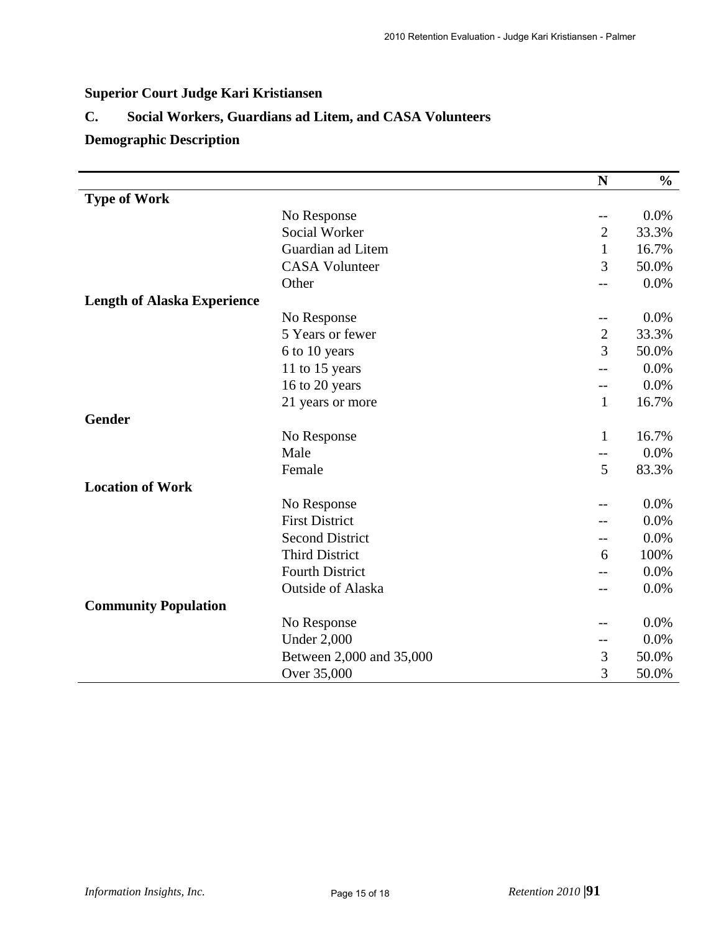# **Superior Court Judge Kari Kristiansen**

# **C. Social Workers, Guardians ad Litem, and CASA Volunteers**

# **Demographic Description**

|                                    |                          | ${\bf N}$         | $\frac{0}{0}$ |
|------------------------------------|--------------------------|-------------------|---------------|
| <b>Type of Work</b>                |                          |                   |               |
|                                    | No Response              | $\qquad \qquad -$ | 0.0%          |
|                                    | Social Worker            | $\overline{2}$    | 33.3%         |
|                                    | Guardian ad Litem        | $\mathbf{1}$      | 16.7%         |
|                                    | <b>CASA Volunteer</b>    | 3                 | 50.0%         |
|                                    | Other                    | --                | 0.0%          |
| <b>Length of Alaska Experience</b> |                          |                   |               |
|                                    | No Response              | --                | 0.0%          |
|                                    | 5 Years or fewer         | $\overline{c}$    | 33.3%         |
|                                    | 6 to 10 years            | 3                 | 50.0%         |
|                                    | 11 to 15 years           |                   | 0.0%          |
|                                    | 16 to 20 years           | $-$               | 0.0%          |
|                                    | 21 years or more         | $\mathbf{1}$      | 16.7%         |
| Gender                             |                          |                   |               |
|                                    | No Response              | $\mathbf{1}$      | 16.7%         |
|                                    | Male                     | $-$               | 0.0%          |
|                                    | Female                   | 5                 | 83.3%         |
| <b>Location of Work</b>            |                          |                   |               |
|                                    | No Response              |                   | 0.0%          |
|                                    | <b>First District</b>    |                   | 0.0%          |
|                                    | <b>Second District</b>   | $-$               | 0.0%          |
|                                    | <b>Third District</b>    | 6                 | 100%          |
|                                    | <b>Fourth District</b>   |                   | 0.0%          |
|                                    | <b>Outside of Alaska</b> |                   | 0.0%          |
| <b>Community Population</b>        |                          |                   |               |
|                                    | No Response              |                   | 0.0%          |
|                                    | <b>Under 2,000</b>       | $\qquad \qquad -$ | 0.0%          |
|                                    | Between 2,000 and 35,000 | 3                 | 50.0%         |
|                                    | Over 35,000              | 3                 | 50.0%         |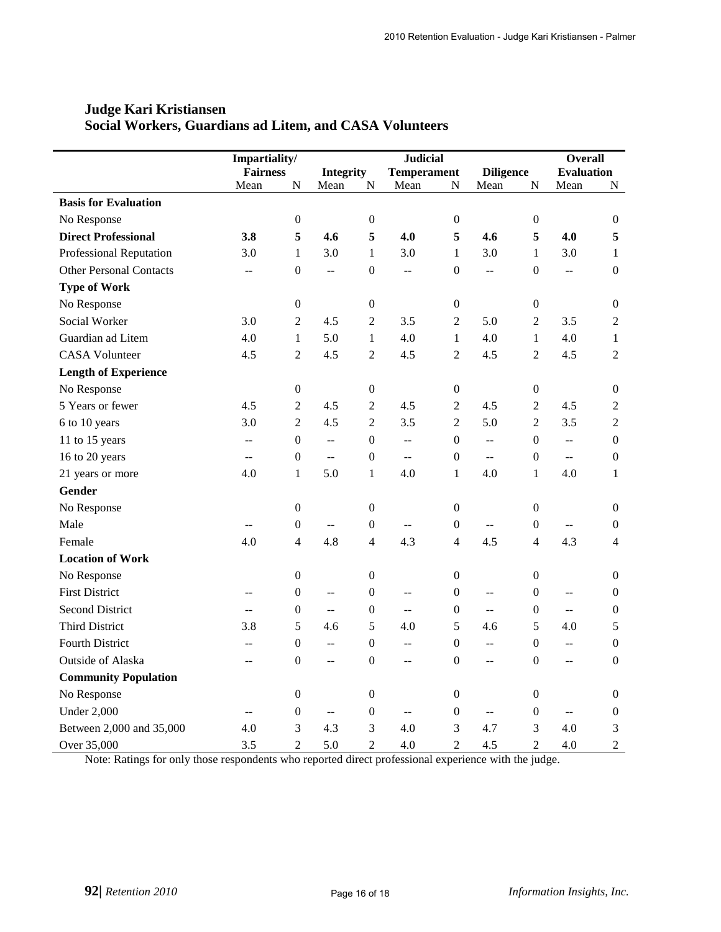|                                | Impartiality/            |                  |                          |                  | <b>Judicial</b>    | <b>Overall</b>   |                          |                  |                          |                  |
|--------------------------------|--------------------------|------------------|--------------------------|------------------|--------------------|------------------|--------------------------|------------------|--------------------------|------------------|
|                                | <b>Fairness</b>          |                  | <b>Integrity</b>         |                  | <b>Temperament</b> |                  | <b>Diligence</b>         |                  | <b>Evaluation</b>        |                  |
|                                | Mean                     | N                | Mean                     | N                | Mean               | N                | Mean                     | N                | Mean                     | ${\bf N}$        |
| <b>Basis for Evaluation</b>    |                          |                  |                          |                  |                    |                  |                          |                  |                          |                  |
| No Response                    |                          | $\boldsymbol{0}$ |                          | $\boldsymbol{0}$ |                    | $\boldsymbol{0}$ |                          | $\boldsymbol{0}$ |                          | $\boldsymbol{0}$ |
| <b>Direct Professional</b>     | 3.8                      | 5                | 4.6                      | 5                | 4.0                | 5                | 4.6                      | 5                | 4.0                      | 5                |
| Professional Reputation        | 3.0                      | $\mathbf{1}$     | 3.0                      | 1                | 3.0                | 1                | 3.0                      | 1                | 3.0                      | $\mathbf{1}$     |
| <b>Other Personal Contacts</b> | $\overline{a}$           | $\mathbf{0}$     | ц.,                      | $\boldsymbol{0}$ | $\overline{a}$     | $\mathbf{0}$     | $\overline{a}$           | $\mathbf{0}$     | $\overline{a}$           | $\mathbf{0}$     |
| <b>Type of Work</b>            |                          |                  |                          |                  |                    |                  |                          |                  |                          |                  |
| No Response                    |                          | $\boldsymbol{0}$ |                          | $\boldsymbol{0}$ |                    | $\boldsymbol{0}$ |                          | $\boldsymbol{0}$ |                          | $\boldsymbol{0}$ |
| Social Worker                  | 3.0                      | $\overline{2}$   | 4.5                      | $\overline{2}$   | 3.5                | $\overline{2}$   | 5.0                      | $\overline{2}$   | 3.5                      | $\overline{2}$   |
| Guardian ad Litem              | 4.0                      | $\mathbf{1}$     | 5.0                      | $\mathbf{1}$     | 4.0                | $\mathbf{1}$     | 4.0                      | $\mathbf{1}$     | 4.0                      | $\mathbf{1}$     |
| <b>CASA Volunteer</b>          | 4.5                      | $\overline{2}$   | 4.5                      | $\overline{2}$   | 4.5                | $\overline{2}$   | 4.5                      | $\overline{2}$   | 4.5                      | $\overline{2}$   |
| <b>Length of Experience</b>    |                          |                  |                          |                  |                    |                  |                          |                  |                          |                  |
| No Response                    |                          | $\boldsymbol{0}$ |                          | $\boldsymbol{0}$ |                    | $\boldsymbol{0}$ |                          | 0                |                          | $\theta$         |
| 5 Years or fewer               | 4.5                      | $\overline{2}$   | 4.5                      | $\overline{2}$   | 4.5                | 2                | 4.5                      | $\overline{2}$   | 4.5                      | $\overline{2}$   |
| 6 to 10 years                  | 3.0                      | $\overline{2}$   | 4.5                      | $\overline{2}$   | 3.5                | $\overline{2}$   | 5.0                      | $\overline{2}$   | 3.5                      | $\overline{2}$   |
| 11 to 15 years                 | $-$                      | $\boldsymbol{0}$ | $\overline{\phantom{a}}$ | $\boldsymbol{0}$ | $-$                | $\boldsymbol{0}$ | $\mathbf{L}$             | $\boldsymbol{0}$ | $\overline{a}$           | $\boldsymbol{0}$ |
| 16 to 20 years                 | $-$                      | $\boldsymbol{0}$ | ц.,                      | $\boldsymbol{0}$ | $-$                | $\boldsymbol{0}$ | $\overline{a}$           | $\boldsymbol{0}$ | $\overline{a}$           | $\boldsymbol{0}$ |
| 21 years or more               | 4.0                      | $\mathbf{1}$     | 5.0                      | $\mathbf{1}$     | 4.0                | $\mathbf{1}$     | 4.0                      | $\mathbf{1}$     | 4.0                      | $\mathbf{1}$     |
| <b>Gender</b>                  |                          |                  |                          |                  |                    |                  |                          |                  |                          |                  |
| No Response                    |                          | $\boldsymbol{0}$ |                          | $\boldsymbol{0}$ |                    | $\boldsymbol{0}$ |                          | $\boldsymbol{0}$ |                          | $\boldsymbol{0}$ |
| Male                           | $\overline{\phantom{m}}$ | $\boldsymbol{0}$ | $\overline{a}$           | $\boldsymbol{0}$ | $\overline{a}$     | $\boldsymbol{0}$ | $\overline{\phantom{a}}$ | $\overline{0}$   | $\overline{\phantom{a}}$ | $\boldsymbol{0}$ |
| Female                         | 4.0                      | 4                | 4.8                      | $\overline{4}$   | 4.3                | $\overline{4}$   | 4.5                      | $\overline{4}$   | 4.3                      | $\overline{4}$   |
| <b>Location of Work</b>        |                          |                  |                          |                  |                    |                  |                          |                  |                          |                  |
| No Response                    |                          | $\boldsymbol{0}$ |                          | $\boldsymbol{0}$ |                    | $\mathbf{0}$     |                          | $\overline{0}$   |                          | $\boldsymbol{0}$ |
| <b>First District</b>          | --                       | $\boldsymbol{0}$ | --                       | $\boldsymbol{0}$ | --                 | $\boldsymbol{0}$ | $\mathbf{u}$             | $\Omega$         | $\overline{a}$           | $\boldsymbol{0}$ |
| <b>Second District</b>         |                          | $\boldsymbol{0}$ | 44                       | $\boldsymbol{0}$ | $-$                | $\boldsymbol{0}$ | $\overline{a}$           | $\Omega$         | L.                       | $\boldsymbol{0}$ |
| <b>Third District</b>          | 3.8                      | 5                | 4.6                      | 5                | 4.0                | 5                | 4.6                      | 5                | 4.0                      | 5                |
| <b>Fourth District</b>         | $-$                      | $\boldsymbol{0}$ | $-$                      | $\boldsymbol{0}$ | $- -$              | $\boldsymbol{0}$ | $\overline{\phantom{m}}$ | $\boldsymbol{0}$ | $- -$                    | $\boldsymbol{0}$ |
| Outside of Alaska              | $-$                      | $\boldsymbol{0}$ | --                       | $\boldsymbol{0}$ | --                 | $\boldsymbol{0}$ | $-$                      | $\boldsymbol{0}$ | --                       | $\boldsymbol{0}$ |
| <b>Community Population</b>    |                          |                  |                          |                  |                    |                  |                          |                  |                          |                  |
| No Response                    |                          | 0                |                          | $\theta$         |                    | $\theta$         |                          | 0                |                          | $\theta$         |
| <b>Under 2,000</b>             | $\overline{a}$           | $\boldsymbol{0}$ | $\overline{a}$           | $\mathbf{0}$     | $\mathbf{u}$       | $\mathbf{0}$     | $\mathbf{u}$             | $\overline{0}$   | $\mathbf{u}$             | $\overline{0}$   |
| Between 2,000 and 35,000       | 4.0                      | 3                | 4.3                      | 3                | 4.0                | 3                | 4.7                      | 3                | 4.0                      | $\mathfrak{Z}$   |
| Over 35,000                    | 3.5                      | $\overline{2}$   | 5.0                      | $\overline{2}$   | 4.0                | $\overline{2}$   | 4.5                      | $\overline{2}$   | 4.0                      | $\overline{2}$   |

## **Judge Kari Kristiansen Social Workers, Guardians ad Litem, and CASA Volunteers**

Note: Ratings for only those respondents who reported direct professional experience with the judge.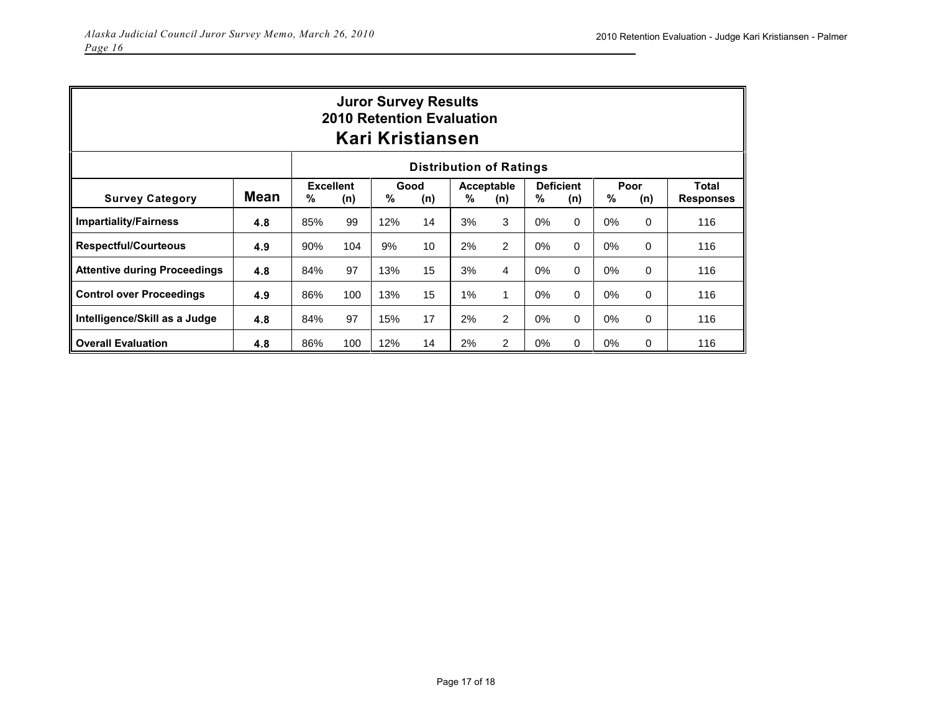| <b>Juror Survey Results</b><br><b>2010 Retention Evaluation</b><br>Kari Kristiansen |             |                                                                                                                                |     |     |    |       |   |       |          |       |                           |     |
|-------------------------------------------------------------------------------------|-------------|--------------------------------------------------------------------------------------------------------------------------------|-----|-----|----|-------|---|-------|----------|-------|---------------------------|-----|
| <b>Distribution of Ratings</b>                                                      |             |                                                                                                                                |     |     |    |       |   |       |          |       |                           |     |
| <b>Survey Category</b>                                                              | <b>Mean</b> | <b>Excellent</b><br><b>Deficient</b><br>Poor<br>Good<br>Acceptable<br>%<br>%<br>%<br>℅<br>%<br>(n)<br>(n)<br>(n)<br>(n)<br>(n) |     |     |    |       |   |       |          |       | Total<br><b>Responses</b> |     |
| <b>Impartiality/Fairness</b>                                                        | 4.8         | 85%                                                                                                                            | 99  | 12% | 14 | 3%    | 3 | 0%    | 0        | 0%    | 0                         | 116 |
| <b>Respectful/Courteous</b>                                                         | 4.9         | 90%                                                                                                                            | 104 | 9%  | 10 | 2%    | 2 | $0\%$ | $\Omega$ | $0\%$ | $\Omega$                  | 116 |
| <b>Attentive during Proceedings</b>                                                 | 4.8         | 84%                                                                                                                            | 97  | 13% | 15 | 3%    | 4 | $0\%$ | 0        | $0\%$ | 0                         | 116 |
| <b>Control over Proceedings</b>                                                     | 4.9         | 86%                                                                                                                            | 100 | 13% | 15 | $1\%$ | 1 | $0\%$ | $\Omega$ | $0\%$ | $\Omega$                  | 116 |
| Intelligence/Skill as a Judge                                                       | 4.8         | 84%                                                                                                                            | 97  | 15% | 17 | 2%    | 2 | $0\%$ | 0        | $0\%$ | 0                         | 116 |
| <b>Overall Evaluation</b>                                                           | 4.8         | 86%                                                                                                                            | 100 | 12% | 14 | 2%    | 2 | $0\%$ | 0        | $0\%$ | 0                         | 116 |